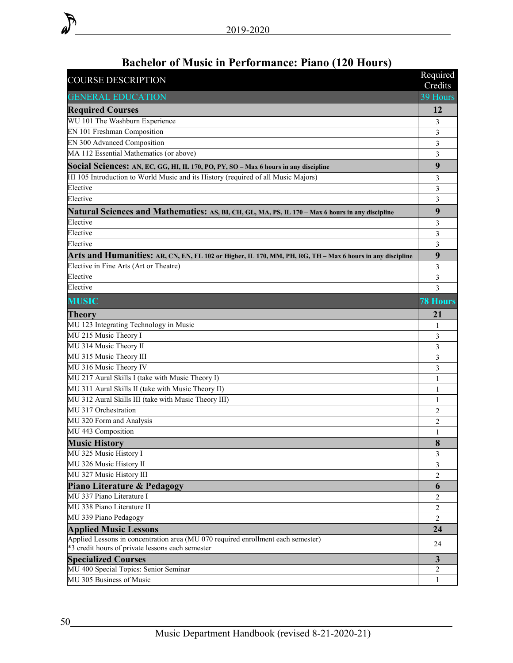| 39 Hours<br><b>GENERAL EDUCATION</b><br>12<br><b>Required Courses</b><br>WU 101 The Washburn Experience<br>3<br>EN 101 Freshman Composition<br>3<br>EN 300 Advanced Composition<br>3<br>MA 112 Essential Mathematics (or above)<br>3<br>9<br>Social Sciences: AN, EC, GG, HI, IL 170, PO, PY, SO – Max 6 hours in any discipline<br>HI 105 Introduction to World Music and its History (required of all Music Majors)<br>3<br>Elective<br>3<br>Elective<br>3<br>9<br>Natural Sciences and Mathematics: AS, BI, CH, GL, MA, PS, IL 170 - Max 6 hours in any discipline<br>Elective<br>3<br>Elective<br>3<br>Elective<br>3<br>9<br>Arts and Humanities: AR, CN, EN, FL 102 or Higher, IL 170, MM, PH, RG, TH – Max 6 hours in any discipline<br>Elective in Fine Arts (Art or Theatre)<br>3<br>Elective<br>3<br>Elective<br>3<br><b>MUSIC</b><br><b>78 Hours</b><br><b>Theory</b><br>21<br>MU 123 Integrating Technology in Music<br>1<br>MU 215 Music Theory I<br>3<br>MU 314 Music Theory II<br>3<br>MU 315 Music Theory III<br>3<br>MU 316 Music Theory IV<br>3<br>MU 217 Aural Skills I (take with Music Theory I)<br>1<br>MU 311 Aural Skills II (take with Music Theory II)<br>1<br>MU 312 Aural Skills III (take with Music Theory III)<br>1<br>MU 317 Orchestration<br>2<br>MU 320 Form and Analysis<br>2<br>MU 443 Composition<br>1<br><b>Music History</b><br>$\Omega$<br>ð<br>MU 325 Music History I<br>3<br>MU 326 Music History II<br>3<br>MU 327 Music History III<br>$\overline{c}$<br><b>Piano Literature &amp; Pedagogy</b><br>6<br>MU 337 Piano Literature I<br>$\overline{c}$<br>MU 338 Piano Literature II<br>$\overline{c}$<br>MU 339 Piano Pedagogy<br>$\overline{2}$<br><b>Applied Music Lessons</b><br>24<br>Applied Lessons in concentration area (MU 070 required enrollment each semester)<br>24<br>*3 credit hours of private lessons each semester<br>$\mathbf{3}$<br><b>Specialized Courses</b><br>MU 400 Special Topics: Senior Seminar<br>2<br>MU 305 Business of Music<br>1 | <b>COURSE DESCRIPTION</b> | Required<br>Credits |
|------------------------------------------------------------------------------------------------------------------------------------------------------------------------------------------------------------------------------------------------------------------------------------------------------------------------------------------------------------------------------------------------------------------------------------------------------------------------------------------------------------------------------------------------------------------------------------------------------------------------------------------------------------------------------------------------------------------------------------------------------------------------------------------------------------------------------------------------------------------------------------------------------------------------------------------------------------------------------------------------------------------------------------------------------------------------------------------------------------------------------------------------------------------------------------------------------------------------------------------------------------------------------------------------------------------------------------------------------------------------------------------------------------------------------------------------------------------------------------------------------------------------------------------------------------------------------------------------------------------------------------------------------------------------------------------------------------------------------------------------------------------------------------------------------------------------------------------------------------------------------------------------------------------------------------------------------------------------------------------------------------|---------------------------|---------------------|
|                                                                                                                                                                                                                                                                                                                                                                                                                                                                                                                                                                                                                                                                                                                                                                                                                                                                                                                                                                                                                                                                                                                                                                                                                                                                                                                                                                                                                                                                                                                                                                                                                                                                                                                                                                                                                                                                                                                                                                                                            |                           |                     |
|                                                                                                                                                                                                                                                                                                                                                                                                                                                                                                                                                                                                                                                                                                                                                                                                                                                                                                                                                                                                                                                                                                                                                                                                                                                                                                                                                                                                                                                                                                                                                                                                                                                                                                                                                                                                                                                                                                                                                                                                            |                           |                     |
|                                                                                                                                                                                                                                                                                                                                                                                                                                                                                                                                                                                                                                                                                                                                                                                                                                                                                                                                                                                                                                                                                                                                                                                                                                                                                                                                                                                                                                                                                                                                                                                                                                                                                                                                                                                                                                                                                                                                                                                                            |                           |                     |
|                                                                                                                                                                                                                                                                                                                                                                                                                                                                                                                                                                                                                                                                                                                                                                                                                                                                                                                                                                                                                                                                                                                                                                                                                                                                                                                                                                                                                                                                                                                                                                                                                                                                                                                                                                                                                                                                                                                                                                                                            |                           |                     |
|                                                                                                                                                                                                                                                                                                                                                                                                                                                                                                                                                                                                                                                                                                                                                                                                                                                                                                                                                                                                                                                                                                                                                                                                                                                                                                                                                                                                                                                                                                                                                                                                                                                                                                                                                                                                                                                                                                                                                                                                            |                           |                     |
|                                                                                                                                                                                                                                                                                                                                                                                                                                                                                                                                                                                                                                                                                                                                                                                                                                                                                                                                                                                                                                                                                                                                                                                                                                                                                                                                                                                                                                                                                                                                                                                                                                                                                                                                                                                                                                                                                                                                                                                                            |                           |                     |
|                                                                                                                                                                                                                                                                                                                                                                                                                                                                                                                                                                                                                                                                                                                                                                                                                                                                                                                                                                                                                                                                                                                                                                                                                                                                                                                                                                                                                                                                                                                                                                                                                                                                                                                                                                                                                                                                                                                                                                                                            |                           |                     |
|                                                                                                                                                                                                                                                                                                                                                                                                                                                                                                                                                                                                                                                                                                                                                                                                                                                                                                                                                                                                                                                                                                                                                                                                                                                                                                                                                                                                                                                                                                                                                                                                                                                                                                                                                                                                                                                                                                                                                                                                            |                           |                     |
|                                                                                                                                                                                                                                                                                                                                                                                                                                                                                                                                                                                                                                                                                                                                                                                                                                                                                                                                                                                                                                                                                                                                                                                                                                                                                                                                                                                                                                                                                                                                                                                                                                                                                                                                                                                                                                                                                                                                                                                                            |                           |                     |
|                                                                                                                                                                                                                                                                                                                                                                                                                                                                                                                                                                                                                                                                                                                                                                                                                                                                                                                                                                                                                                                                                                                                                                                                                                                                                                                                                                                                                                                                                                                                                                                                                                                                                                                                                                                                                                                                                                                                                                                                            |                           |                     |
|                                                                                                                                                                                                                                                                                                                                                                                                                                                                                                                                                                                                                                                                                                                                                                                                                                                                                                                                                                                                                                                                                                                                                                                                                                                                                                                                                                                                                                                                                                                                                                                                                                                                                                                                                                                                                                                                                                                                                                                                            |                           |                     |
|                                                                                                                                                                                                                                                                                                                                                                                                                                                                                                                                                                                                                                                                                                                                                                                                                                                                                                                                                                                                                                                                                                                                                                                                                                                                                                                                                                                                                                                                                                                                                                                                                                                                                                                                                                                                                                                                                                                                                                                                            |                           |                     |
|                                                                                                                                                                                                                                                                                                                                                                                                                                                                                                                                                                                                                                                                                                                                                                                                                                                                                                                                                                                                                                                                                                                                                                                                                                                                                                                                                                                                                                                                                                                                                                                                                                                                                                                                                                                                                                                                                                                                                                                                            |                           |                     |
|                                                                                                                                                                                                                                                                                                                                                                                                                                                                                                                                                                                                                                                                                                                                                                                                                                                                                                                                                                                                                                                                                                                                                                                                                                                                                                                                                                                                                                                                                                                                                                                                                                                                                                                                                                                                                                                                                                                                                                                                            |                           |                     |
|                                                                                                                                                                                                                                                                                                                                                                                                                                                                                                                                                                                                                                                                                                                                                                                                                                                                                                                                                                                                                                                                                                                                                                                                                                                                                                                                                                                                                                                                                                                                                                                                                                                                                                                                                                                                                                                                                                                                                                                                            |                           |                     |
|                                                                                                                                                                                                                                                                                                                                                                                                                                                                                                                                                                                                                                                                                                                                                                                                                                                                                                                                                                                                                                                                                                                                                                                                                                                                                                                                                                                                                                                                                                                                                                                                                                                                                                                                                                                                                                                                                                                                                                                                            |                           |                     |
|                                                                                                                                                                                                                                                                                                                                                                                                                                                                                                                                                                                                                                                                                                                                                                                                                                                                                                                                                                                                                                                                                                                                                                                                                                                                                                                                                                                                                                                                                                                                                                                                                                                                                                                                                                                                                                                                                                                                                                                                            |                           |                     |
|                                                                                                                                                                                                                                                                                                                                                                                                                                                                                                                                                                                                                                                                                                                                                                                                                                                                                                                                                                                                                                                                                                                                                                                                                                                                                                                                                                                                                                                                                                                                                                                                                                                                                                                                                                                                                                                                                                                                                                                                            |                           |                     |
|                                                                                                                                                                                                                                                                                                                                                                                                                                                                                                                                                                                                                                                                                                                                                                                                                                                                                                                                                                                                                                                                                                                                                                                                                                                                                                                                                                                                                                                                                                                                                                                                                                                                                                                                                                                                                                                                                                                                                                                                            |                           |                     |
|                                                                                                                                                                                                                                                                                                                                                                                                                                                                                                                                                                                                                                                                                                                                                                                                                                                                                                                                                                                                                                                                                                                                                                                                                                                                                                                                                                                                                                                                                                                                                                                                                                                                                                                                                                                                                                                                                                                                                                                                            |                           |                     |
|                                                                                                                                                                                                                                                                                                                                                                                                                                                                                                                                                                                                                                                                                                                                                                                                                                                                                                                                                                                                                                                                                                                                                                                                                                                                                                                                                                                                                                                                                                                                                                                                                                                                                                                                                                                                                                                                                                                                                                                                            |                           |                     |
|                                                                                                                                                                                                                                                                                                                                                                                                                                                                                                                                                                                                                                                                                                                                                                                                                                                                                                                                                                                                                                                                                                                                                                                                                                                                                                                                                                                                                                                                                                                                                                                                                                                                                                                                                                                                                                                                                                                                                                                                            |                           |                     |
|                                                                                                                                                                                                                                                                                                                                                                                                                                                                                                                                                                                                                                                                                                                                                                                                                                                                                                                                                                                                                                                                                                                                                                                                                                                                                                                                                                                                                                                                                                                                                                                                                                                                                                                                                                                                                                                                                                                                                                                                            |                           |                     |
|                                                                                                                                                                                                                                                                                                                                                                                                                                                                                                                                                                                                                                                                                                                                                                                                                                                                                                                                                                                                                                                                                                                                                                                                                                                                                                                                                                                                                                                                                                                                                                                                                                                                                                                                                                                                                                                                                                                                                                                                            |                           |                     |
|                                                                                                                                                                                                                                                                                                                                                                                                                                                                                                                                                                                                                                                                                                                                                                                                                                                                                                                                                                                                                                                                                                                                                                                                                                                                                                                                                                                                                                                                                                                                                                                                                                                                                                                                                                                                                                                                                                                                                                                                            |                           |                     |
|                                                                                                                                                                                                                                                                                                                                                                                                                                                                                                                                                                                                                                                                                                                                                                                                                                                                                                                                                                                                                                                                                                                                                                                                                                                                                                                                                                                                                                                                                                                                                                                                                                                                                                                                                                                                                                                                                                                                                                                                            |                           |                     |
|                                                                                                                                                                                                                                                                                                                                                                                                                                                                                                                                                                                                                                                                                                                                                                                                                                                                                                                                                                                                                                                                                                                                                                                                                                                                                                                                                                                                                                                                                                                                                                                                                                                                                                                                                                                                                                                                                                                                                                                                            |                           |                     |
|                                                                                                                                                                                                                                                                                                                                                                                                                                                                                                                                                                                                                                                                                                                                                                                                                                                                                                                                                                                                                                                                                                                                                                                                                                                                                                                                                                                                                                                                                                                                                                                                                                                                                                                                                                                                                                                                                                                                                                                                            |                           |                     |
|                                                                                                                                                                                                                                                                                                                                                                                                                                                                                                                                                                                                                                                                                                                                                                                                                                                                                                                                                                                                                                                                                                                                                                                                                                                                                                                                                                                                                                                                                                                                                                                                                                                                                                                                                                                                                                                                                                                                                                                                            |                           |                     |
|                                                                                                                                                                                                                                                                                                                                                                                                                                                                                                                                                                                                                                                                                                                                                                                                                                                                                                                                                                                                                                                                                                                                                                                                                                                                                                                                                                                                                                                                                                                                                                                                                                                                                                                                                                                                                                                                                                                                                                                                            |                           |                     |
|                                                                                                                                                                                                                                                                                                                                                                                                                                                                                                                                                                                                                                                                                                                                                                                                                                                                                                                                                                                                                                                                                                                                                                                                                                                                                                                                                                                                                                                                                                                                                                                                                                                                                                                                                                                                                                                                                                                                                                                                            |                           |                     |
|                                                                                                                                                                                                                                                                                                                                                                                                                                                                                                                                                                                                                                                                                                                                                                                                                                                                                                                                                                                                                                                                                                                                                                                                                                                                                                                                                                                                                                                                                                                                                                                                                                                                                                                                                                                                                                                                                                                                                                                                            |                           |                     |
|                                                                                                                                                                                                                                                                                                                                                                                                                                                                                                                                                                                                                                                                                                                                                                                                                                                                                                                                                                                                                                                                                                                                                                                                                                                                                                                                                                                                                                                                                                                                                                                                                                                                                                                                                                                                                                                                                                                                                                                                            |                           |                     |
|                                                                                                                                                                                                                                                                                                                                                                                                                                                                                                                                                                                                                                                                                                                                                                                                                                                                                                                                                                                                                                                                                                                                                                                                                                                                                                                                                                                                                                                                                                                                                                                                                                                                                                                                                                                                                                                                                                                                                                                                            |                           |                     |
|                                                                                                                                                                                                                                                                                                                                                                                                                                                                                                                                                                                                                                                                                                                                                                                                                                                                                                                                                                                                                                                                                                                                                                                                                                                                                                                                                                                                                                                                                                                                                                                                                                                                                                                                                                                                                                                                                                                                                                                                            |                           |                     |
|                                                                                                                                                                                                                                                                                                                                                                                                                                                                                                                                                                                                                                                                                                                                                                                                                                                                                                                                                                                                                                                                                                                                                                                                                                                                                                                                                                                                                                                                                                                                                                                                                                                                                                                                                                                                                                                                                                                                                                                                            |                           |                     |
|                                                                                                                                                                                                                                                                                                                                                                                                                                                                                                                                                                                                                                                                                                                                                                                                                                                                                                                                                                                                                                                                                                                                                                                                                                                                                                                                                                                                                                                                                                                                                                                                                                                                                                                                                                                                                                                                                                                                                                                                            |                           |                     |
|                                                                                                                                                                                                                                                                                                                                                                                                                                                                                                                                                                                                                                                                                                                                                                                                                                                                                                                                                                                                                                                                                                                                                                                                                                                                                                                                                                                                                                                                                                                                                                                                                                                                                                                                                                                                                                                                                                                                                                                                            |                           |                     |
|                                                                                                                                                                                                                                                                                                                                                                                                                                                                                                                                                                                                                                                                                                                                                                                                                                                                                                                                                                                                                                                                                                                                                                                                                                                                                                                                                                                                                                                                                                                                                                                                                                                                                                                                                                                                                                                                                                                                                                                                            |                           |                     |
|                                                                                                                                                                                                                                                                                                                                                                                                                                                                                                                                                                                                                                                                                                                                                                                                                                                                                                                                                                                                                                                                                                                                                                                                                                                                                                                                                                                                                                                                                                                                                                                                                                                                                                                                                                                                                                                                                                                                                                                                            |                           |                     |
|                                                                                                                                                                                                                                                                                                                                                                                                                                                                                                                                                                                                                                                                                                                                                                                                                                                                                                                                                                                                                                                                                                                                                                                                                                                                                                                                                                                                                                                                                                                                                                                                                                                                                                                                                                                                                                                                                                                                                                                                            |                           |                     |
|                                                                                                                                                                                                                                                                                                                                                                                                                                                                                                                                                                                                                                                                                                                                                                                                                                                                                                                                                                                                                                                                                                                                                                                                                                                                                                                                                                                                                                                                                                                                                                                                                                                                                                                                                                                                                                                                                                                                                                                                            |                           |                     |
|                                                                                                                                                                                                                                                                                                                                                                                                                                                                                                                                                                                                                                                                                                                                                                                                                                                                                                                                                                                                                                                                                                                                                                                                                                                                                                                                                                                                                                                                                                                                                                                                                                                                                                                                                                                                                                                                                                                                                                                                            |                           |                     |
|                                                                                                                                                                                                                                                                                                                                                                                                                                                                                                                                                                                                                                                                                                                                                                                                                                                                                                                                                                                                                                                                                                                                                                                                                                                                                                                                                                                                                                                                                                                                                                                                                                                                                                                                                                                                                                                                                                                                                                                                            |                           |                     |

## **Bachelor of Music in Performance: Piano (120 Hours)**

 $\mathbb{Z}$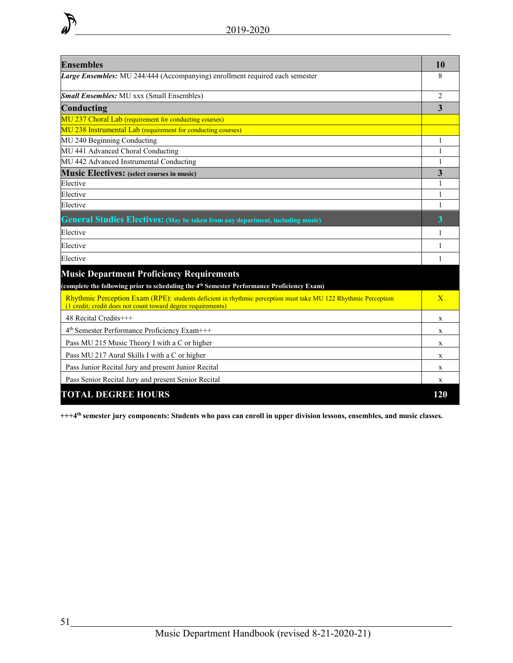| <b>Ensembles</b>                                                                                                                                                              | 10             |
|-------------------------------------------------------------------------------------------------------------------------------------------------------------------------------|----------------|
| Large Ensembles: MU 244/444 (Accompanying) enrollment required each semester                                                                                                  | 8              |
| <b>Small Ensembles:</b> MU xxx (Small Ensembles)                                                                                                                              | $\mathfrak{D}$ |
| Conducting                                                                                                                                                                    | 3              |
| MU 237 Choral Lab (requirement for conducting courses)                                                                                                                        |                |
| MU 238 Instrumental Lab (requirement for conducting courses)                                                                                                                  |                |
| MU 240 Beginning Conducting                                                                                                                                                   | 1              |
| MU 441 Advanced Choral Conducting                                                                                                                                             | 1              |
| MU 442 Advanced Instrumental Conducting                                                                                                                                       | 1              |
| <b>Music Electives:</b> (select courses in music)                                                                                                                             | 3              |
| Elective                                                                                                                                                                      | 1              |
| Elective                                                                                                                                                                      | 1              |
| Elective                                                                                                                                                                      | 1              |
| <b>General Studies Electives:</b> (May be taken from any department, including music)                                                                                         | 3              |
| Elective                                                                                                                                                                      | 1              |
| Elective                                                                                                                                                                      | 1              |
| Elective                                                                                                                                                                      | 1              |
| <b>Music Department Proficiency Requirements</b><br>(complete the following prior to scheduling the 4 <sup>th</sup> Semester Performance Proficiency Exam)                    |                |
| Rhythmic Perception Exam (RPE): students deficient in rhythmic perception must take MU 122 Rhythmic Perception<br>(1 credit; credit does not count toward degree requirements | $\overline{X}$ |
| 48 Recital Credits+++                                                                                                                                                         | X              |
| 4 <sup>th</sup> Semester Performance Proficiency Exam+++                                                                                                                      | X              |
| Pass MU 215 Music Theory I with a C or higher                                                                                                                                 | X              |
| Pass MU 217 Aural Skills I with a C or higher                                                                                                                                 | X              |
| Pass Junior Recital Jury and present Junior Recital                                                                                                                           | $\mathbf{x}$   |
| Pass Senior Recital Jury and present Senior Recital                                                                                                                           | X              |
| <b>TOTAL DEGREE HOURS</b>                                                                                                                                                     | 120            |

**+++4th semester jury components: Students who pass can enroll in upper division lessons, ensembles, and music classes.**